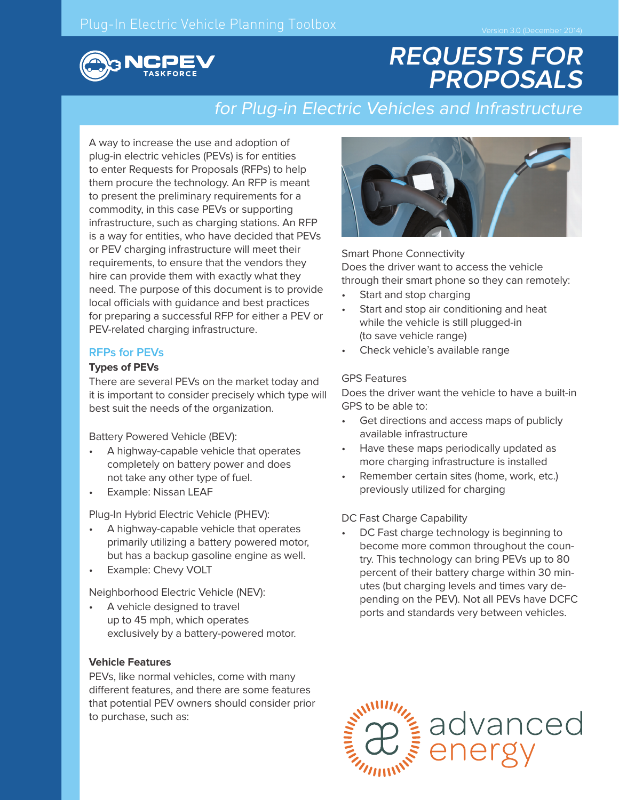

# **REQUESTS FOR PROPOSALS**

# for Plug-in Electric Vehicles and Infrastructure

A way to increase the use and adoption of plug-in electric vehicles (PEVs) is for entities to enter Requests for Proposals (RFPs) to help them procure the technology. An RFP is meant to present the preliminary requirements for a commodity, in this case PEVs or supporting infrastructure, such as charging stations. An RFP is a way for entities, who have decided that PEVs or PEV charging infrastructure will meet their requirements, to ensure that the vendors they hire can provide them with exactly what they need. The purpose of this document is to provide local officials with guidance and best practices for preparing a successful RFP for either a PEV or PEV-related charging infrastructure.

# **RFPs for PEVs**

#### **Types of PEVs**

There are several PEVs on the market today and it is important to consider precisely which type will best suit the needs of the organization.

Battery Powered Vehicle (BEV):

- A highway-capable vehicle that operates completely on battery power and does not take any other type of fuel.
- Example: Nissan LEAF

Plug-In Hybrid Electric Vehicle (PHEV):

- A highway-capable vehicle that operates primarily utilizing a battery powered motor, but has a backup gasoline engine as well.
- Example: Chevy VOLT

Neighborhood Electric Vehicle (NEV):

A vehicle designed to travel up to 45 mph, which operates exclusively by a battery-powered motor.

#### **Vehicle Features**

PEVs, like normal vehicles, come with many different features, and there are some features that potential PEV owners should consider prior to purchase, such as:



Smart Phone Connectivity Does the driver want to access the vehicle through their smart phone so they can remotely:

- Start and stop charging
- Start and stop air conditioning and heat while the vehicle is still plugged-in (to save vehicle range)
- Check vehicle's available range

#### GPS Features

Does the driver want the vehicle to have a built-in GPS to be able to:

- Get directions and access maps of publicly available infrastructure
- Have these maps periodically updated as more charging infrastructure is installed
- Remember certain sites (home, work, etc.) previously utilized for charging

DC Fast Charge Capability

DC Fast charge technology is beginning to become more common throughout the country. This technology can bring PEVs up to 80 percent of their battery charge within 30 minutes (but charging levels and times vary depending on the PEV). Not all PEVs have DCFC ports and standards very between vehicles.

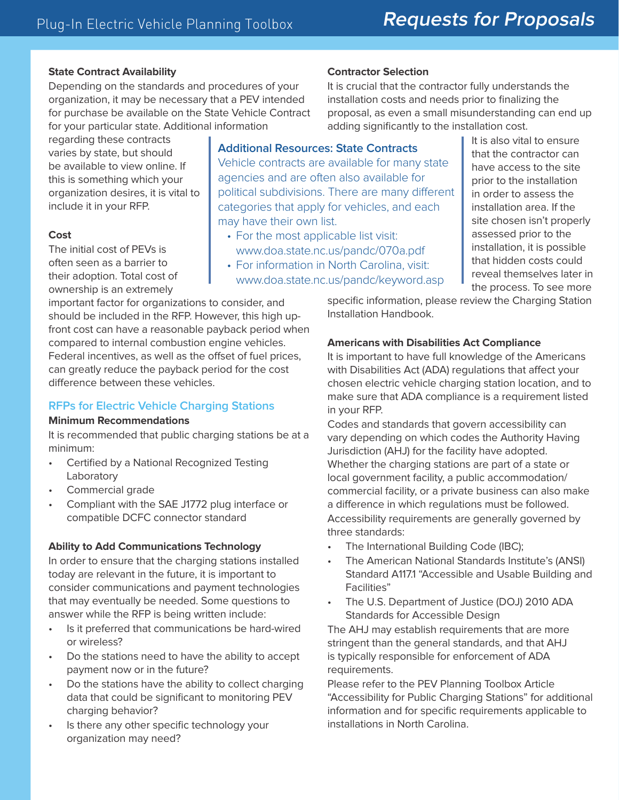# **State Contract Availability**

Depending on the standards and procedures of your organization, it may be necessary that a PEV intended for purchase be available on the State Vehicle Contract for your particular state. Additional information

regarding these contracts varies by state, but should be available to view online. If this is something which your organization desires, it is vital to include it in your RFP.

#### **Cost**

The initial cost of PEVs is often seen as a barrier to their adoption. Total cost of ownership is an extremely

important factor for organizations to consider, and should be included in the RFP. However, this high upfront cost can have a reasonable payback period when compared to internal combustion engine vehicles. Federal incentives, as well as the offset of fuel prices, can greatly reduce the payback period for the cost difference between these vehicles.

# **RFPs for Electric Vehicle Charging Stations**

#### **Minimum Recommendations**

It is recommended that public charging stations be at a minimum:

- Certified by a National Recognized Testing Laboratory
- Commercial grade
- Compliant with the SAE J1772 plug interface or compatible DCFC connector standard

### **Ability to Add Communications Technology**

In order to ensure that the charging stations installed today are relevant in the future, it is important to consider communications and payment technologies that may eventually be needed. Some questions to answer while the RFP is being written include:

- Is it preferred that communications be hard-wired or wireless?
- Do the stations need to have the ability to accept payment now or in the future?
- Do the stations have the ability to collect charging data that could be significant to monitoring PEV charging behavior?
- Is there any other specific technology your organization may need?

### **Contractor Selection**

It is crucial that the contractor fully understands the installation costs and needs prior to finalizing the proposal, as even a small misunderstanding can end up adding significantly to the installation cost.

**Additional Resources: State Contracts** Vehicle contracts are available for many state agencies and are often also available for political subdivisions. There are many different categories that apply for vehicles, and each may have their own list.

- For the most applicable list visit: www.doa.state.nc.us/pandc/070a.pdf
- For information in North Carolina, visit: www.doa.state.nc.us/pandc/keyword.asp

It is also vital to ensure that the contractor can have access to the site prior to the installation in order to assess the installation area. If the site chosen isn't properly assessed prior to the installation, it is possible that hidden costs could reveal themselves later in the process. To see more

specific information, please review the Charging Station Installation Handbook.

### **Americans with Disabilities Act Compliance**

It is important to have full knowledge of the Americans with Disabilities Act (ADA) regulations that affect your chosen electric vehicle charging station location, and to make sure that ADA compliance is a requirement listed in your RFP.

Codes and standards that govern accessibility can vary depending on which codes the Authority Having Jurisdiction (AHJ) for the facility have adopted. Whether the charging stations are part of a state or local government facility, a public accommodation/ commercial facility, or a private business can also make a difference in which regulations must be followed. Accessibility requirements are generally governed by three standards:

- The International Building Code (IBC);
- The American National Standards Institute's (ANSI) Standard A117.1 "Accessible and Usable Building and Facilities"
- The U.S. Department of Justice (DOJ) 2010 ADA Standards for Accessible Design

The AHJ may establish requirements that are more stringent than the general standards, and that AHJ is typically responsible for enforcement of ADA requirements.

Please refer to the PEV Planning Toolbox Article "Accessibility for Public Charging Stations" for additional information and for specific requirements applicable to installations in North Carolina.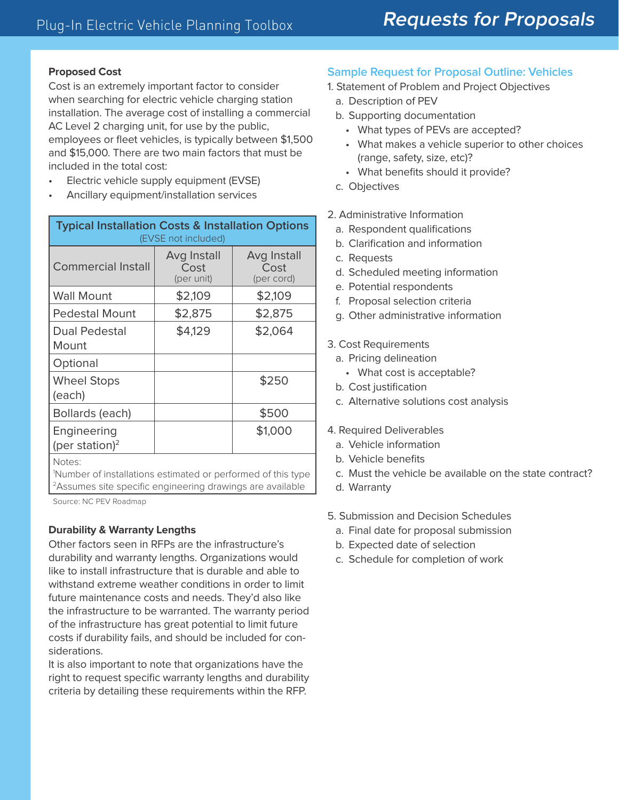#### **Proposed Cost**

Cost is an extremely important factor to consider when searching for electric vehicle charging station installation. The average cost of installing a commercial AC Level 2 charging unit, for use by the public, employees or fleet vehicles, is typically between \$1,500 and \$15,000. There are two main factors that must be included in the total cost:

- Electric vehicle supply equipment (EVSE)
- Ancillary equipment/installation services

| <b>Typical Installation Costs &amp; Installation Options</b><br>(EVSE not included) |                                   |                                   |
|-------------------------------------------------------------------------------------|-----------------------------------|-----------------------------------|
| Commercial Install                                                                  | Avg Install<br>Cost<br>(per unit) | Avg Install<br>Cost<br>(per cord) |
| <b>Wall Mount</b>                                                                   | \$2,109                           | \$2,109                           |
| Pedestal Mount                                                                      | \$2,875                           | \$2,875                           |
| Dual Pedestal<br>Mount                                                              | \$4,129                           | \$2,064                           |
| Optional                                                                            |                                   |                                   |
| <b>Wheel Stops</b><br>(each)                                                        |                                   | \$250                             |
| Bollards (each)                                                                     |                                   | \$500                             |
| Engineering<br>(per station) <sup>2</sup>                                           |                                   | \$1,000                           |

Notes:

1 Number of installations estimated or performed of this type <sup>2</sup>Assumes site specific engineering drawings are available

Source: NC PEV Roadmap

### **Durability & Warranty Lengths**

Other factors seen in RFPs are the infrastructure's durability and warranty lengths. Organizations would like to install infrastructure that is durable and able to withstand extreme weather conditions in order to limit future maintenance costs and needs. They'd also like the infrastructure to be warranted. The warranty period of the infrastructure has great potential to limit future costs if durability fails, and should be included for considerations.

It is also important to note that organizations have the right to request specific warranty lengths and durability criteria by detailing these requirements within the RFP.

# **Sample Request for Proposal Outline: Vehicles**

- 1. Statement of Problem and Project Objectives
	- a. Description of PEV
	- b. Supporting documentation
		- What types of PEVs are accepted?
		- What makes a vehicle superior to other choices (range, safety, size, etc)?
		- What benefits should it provide?
	- c. Objectives
- 2. Administrative Information
	- a. Respondent qualifications
	- b. Clarification and information
	- c. Requests
	- d. Scheduled meeting information
	- e. Potential respondents
	- f. Proposal selection criteria
	- g. Other administrative information
- 3. Cost Requirements
	- a. Pricing delineation
		- What cost is acceptable?
	- b. Cost justification
	- c. Alternative solutions cost analysis
- 4. Required Deliverables
	- a. Vehicle information
	- b. Vehicle benefits
	- c. Must the vehicle be available on the state contract?
	- d. Warranty
- 5. Submission and Decision Schedules
	- a. Final date for proposal submission
	- b. Expected date of selection
	- c. Schedule for completion of work